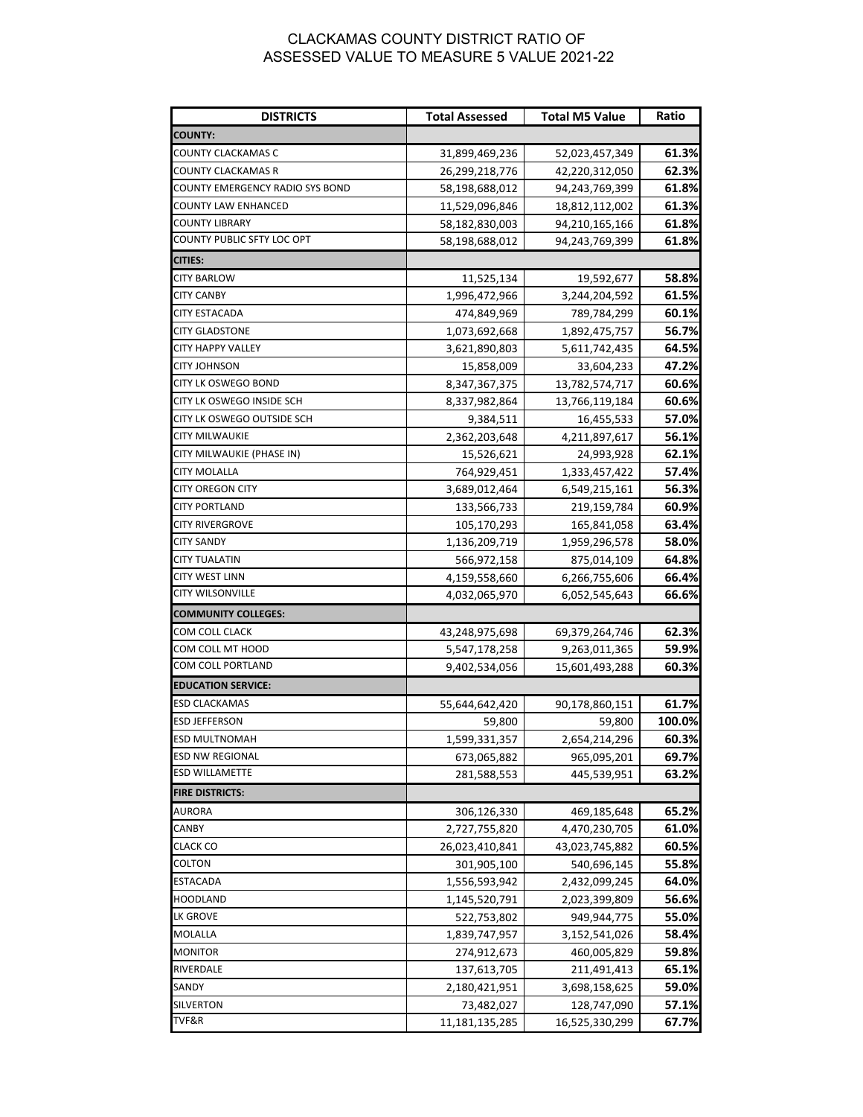## CLACKAMAS COUNTY DISTRICT RATIO OF ASSESSED VALUE TO MEASURE 5 VALUE 2021-22

| <b>DISTRICTS</b>                | <b>Total Assessed</b> | <b>Total M5 Value</b> | Ratio  |
|---------------------------------|-----------------------|-----------------------|--------|
| <b>COUNTY:</b>                  |                       |                       |        |
| COUNTY CLACKAMAS C              | 31,899,469,236        | 52,023,457,349        | 61.3%  |
| COUNTY CLACKAMAS R              | 26,299,218,776        | 42,220,312,050        | 62.3%  |
| COUNTY EMERGENCY RADIO SYS BOND | 58,198,688,012        | 94,243,769,399        | 61.8%  |
| COUNTY LAW ENHANCED             | 11,529,096,846        | 18,812,112,002        | 61.3%  |
| COUNTY LIBRARY                  | 58,182,830,003        | 94,210,165,166        | 61.8%  |
| COUNTY PUBLIC SFTY LOC OPT      | 58,198,688,012        | 94,243,769,399        | 61.8%  |
| <b>CITIES:</b>                  |                       |                       |        |
| CITY BARLOW                     | 11,525,134            | 19,592,677            | 58.8%  |
| <b>CITY CANBY</b>               | 1,996,472,966         | 3,244,204,592         | 61.5%  |
| CITY ESTACADA                   | 474,849,969           | 789,784,299           | 60.1%  |
| <b>CITY GLADSTONE</b>           | 1,073,692,668         | 1,892,475,757         | 56.7%  |
| CITY HAPPY VALLEY               | 3,621,890,803         | 5,611,742,435         | 64.5%  |
| CITY JOHNSON                    | 15,858,009            | 33,604,233            | 47.2%  |
| CITY LK OSWEGO BOND             | 8,347,367,375         | 13,782,574,717        | 60.6%  |
| CITY LK OSWEGO INSIDE SCH       | 8,337,982,864         | 13,766,119,184        | 60.6%  |
| CITY LK OSWEGO OUTSIDE SCH      | 9,384,511             | 16,455,533            | 57.0%  |
| CITY MILWAUKIE                  | 2,362,203,648         | 4,211,897,617         | 56.1%  |
| CITY MILWAUKIE (PHASE IN)       | 15,526,621            | 24,993,928            | 62.1%  |
| CITY MOLALLA                    | 764,929,451           | 1,333,457,422         | 57.4%  |
| <b>CITY OREGON CITY</b>         | 3,689,012,464         | 6,549,215,161         | 56.3%  |
| <b>CITY PORTLAND</b>            | 133,566,733           | 219,159,784           | 60.9%  |
| CITY RIVERGROVE                 | 105,170,293           | 165,841,058           | 63.4%  |
| <b>CITY SANDY</b>               | 1,136,209,719         | 1,959,296,578         | 58.0%  |
| <b>CITY TUALATIN</b>            | 566,972,158           | 875,014,109           | 64.8%  |
| CITY WEST LINN                  | 4,159,558,660         | 6,266,755,606         | 66.4%  |
| CITY WILSONVILLE                | 4,032,065,970         | 6,052,545,643         | 66.6%  |
| <b>COMMUNITY COLLEGES:</b>      |                       |                       |        |
| COM COLL CLACK                  | 43,248,975,698        | 69,379,264,746        | 62.3%  |
| COM COLL MT HOOD                | 5,547,178,258         | 9,263,011,365         | 59.9%  |
| COM COLL PORTLAND               | 9,402,534,056         | 15,601,493,288        | 60.3%  |
| <b>EDUCATION SERVICE:</b>       |                       |                       |        |
| <b>ESD CLACKAMAS</b>            | 55,644,642,420        | 90,178,860,151        | 61.7%  |
| <b>ESD JEFFERSON</b>            | 59,800                | 59,800                | 100.0% |
| <b>ESD MULTNOMAH</b>            | 1,599,331,357         | 2,654,214,296         | 60.3%  |
| <b>ESD NW REGIONAL</b>          | 673,065,882           | 965,095,201           | 69.7%  |
| <b>ESD WILLAMETTE</b>           | 281,588,553           | 445,539,951           | 63.2%  |
| <b>FIRE DISTRICTS:</b>          |                       |                       |        |
| AURORA                          | 306,126,330           | 469,185,648           | 65.2%  |
| CANBY                           | 2,727,755,820         | 4,470,230,705         | 61.0%  |
| <b>CLACK CO</b>                 | 26,023,410,841        | 43,023,745,882        | 60.5%  |
| COLTON                          | 301,905,100           | 540,696,145           | 55.8%  |
| <b>ESTACADA</b>                 | 1,556,593,942         | 2,432,099,245         | 64.0%  |
| HOODLAND                        | 1,145,520,791         | 2,023,399,809         | 56.6%  |
| LK GROVE                        | 522,753,802           | 949,944,775           | 55.0%  |
| MOLALLA                         | 1,839,747,957         | 3,152,541,026         | 58.4%  |
| <b>MONITOR</b>                  | 274,912,673           | 460,005,829           | 59.8%  |
| RIVERDALE                       | 137,613,705           | 211,491,413           | 65.1%  |
| SANDY                           | 2,180,421,951         | 3,698,158,625         | 59.0%  |
| SILVERTON                       | 73,482,027            | 128,747,090           | 57.1%  |
| TVF&R                           | 11,181,135,285        | 16,525,330,299        | 67.7%  |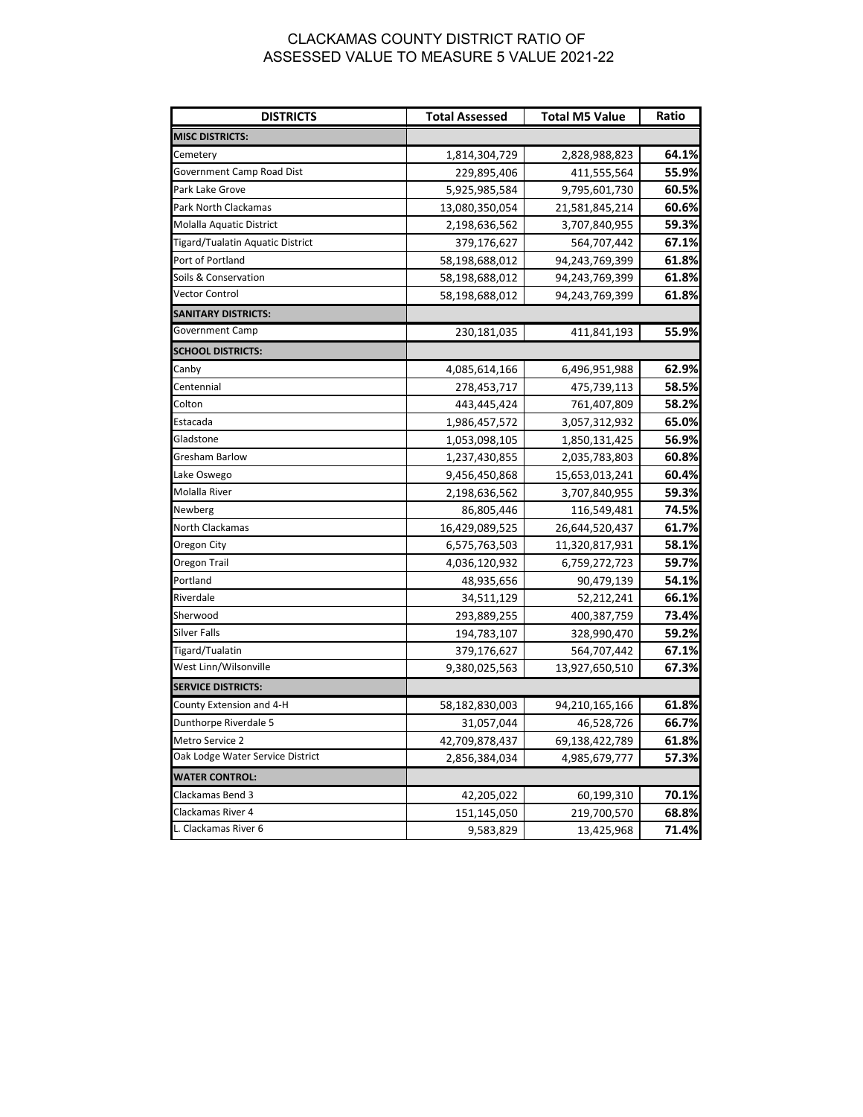## CLACKAMAS COUNTY DISTRICT RATIO OF ASSESSED VALUE TO MEASURE 5 VALUE 2021-22

| <b>DISTRICTS</b>                 | <b>Total Assessed</b> | <b>Total M5 Value</b> | Ratio |
|----------------------------------|-----------------------|-----------------------|-------|
| <b>MISC DISTRICTS:</b>           |                       |                       |       |
| Cemetery                         | 1,814,304,729         | 2,828,988,823         | 64.1% |
| Government Camp Road Dist        | 229,895,406           | 411,555,564           | 55.9% |
| Park Lake Grove                  | 5,925,985,584         | 9,795,601,730         | 60.5% |
| Park North Clackamas             | 13,080,350,054        | 21,581,845,214        | 60.6% |
| Molalla Aquatic District         | 2,198,636,562         | 3,707,840,955         | 59.3% |
| Tigard/Tualatin Aquatic District | 379,176,627           | 564,707,442           | 67.1% |
| Port of Portland                 | 58,198,688,012        | 94,243,769,399        | 61.8% |
| Soils & Conservation             | 58,198,688,012        | 94,243,769,399        | 61.8% |
| Vector Control                   | 58,198,688,012        | 94,243,769,399        | 61.8% |
| <b>SANITARY DISTRICTS:</b>       |                       |                       |       |
| <b>Government Camp</b>           | 230,181,035           | 411,841,193           | 55.9% |
| <b>SCHOOL DISTRICTS:</b>         |                       |                       |       |
| Canby                            | 4,085,614,166         | 6,496,951,988         | 62.9% |
| Centennial                       | 278,453,717           | 475,739,113           | 58.5% |
| Colton                           | 443,445,424           | 761,407,809           | 58.2% |
| Estacada                         | 1,986,457,572         | 3,057,312,932         | 65.0% |
| Gladstone                        | 1,053,098,105         | 1,850,131,425         | 56.9% |
| Gresham Barlow                   | 1,237,430,855         | 2,035,783,803         | 60.8% |
| Lake Oswego                      | 9,456,450,868         | 15,653,013,241        | 60.4% |
| Molalla River                    | 2,198,636,562         | 3,707,840,955         | 59.3% |
| Newberg                          | 86,805,446            | 116,549,481           | 74.5% |
| North Clackamas                  | 16,429,089,525        | 26,644,520,437        | 61.7% |
| Oregon City                      | 6,575,763,503         | 11,320,817,931        | 58.1% |
| Oregon Trail                     | 4,036,120,932         | 6,759,272,723         | 59.7% |
| Portland                         | 48,935,656            | 90,479,139            | 54.1% |
| Riverdale                        | 34,511,129            | 52,212,241            | 66.1% |
| Sherwood                         | 293,889,255           | 400,387,759           | 73.4% |
| Silver Falls                     | 194,783,107           | 328,990,470           | 59.2% |
| Tigard/Tualatin                  | 379,176,627           | 564,707,442           | 67.1% |
| West Linn/Wilsonville            | 9,380,025,563         | 13,927,650,510        | 67.3% |
| <b>SERVICE DISTRICTS:</b>        |                       |                       |       |
| County Extension and 4-H         | 58,182,830,003        | 94,210,165,166        | 61.8% |
| Dunthorpe Riverdale 5            | 31,057,044            | 46,528,726            | 66.7% |
| Metro Service 2                  | 42,709,878,437        | 69,138,422,789        | 61.8% |
| Oak Lodge Water Service District | 2,856,384,034         | 4,985,679,777         | 57.3% |
| <b>WATER CONTROL:</b>            |                       |                       |       |
| Clackamas Bend 3                 | 42,205,022            | 60,199,310            | 70.1% |
| Clackamas River 4                | 151,145,050           | 219,700,570           | 68.8% |
| L. Clackamas River 6             | 9,583,829             | 13,425,968            | 71.4% |